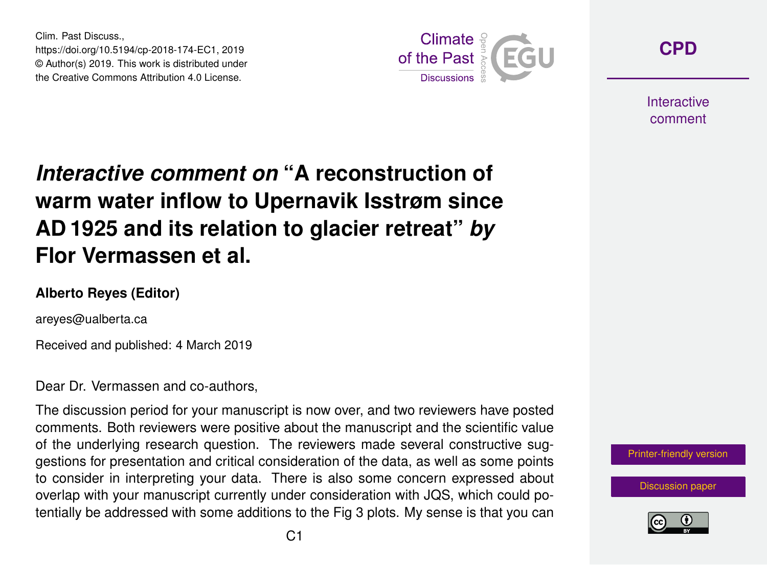Clim. Past Discuss., https://doi.org/10.5194/cp-2018-174-EC1, 2019 © Author(s) 2019. This work is distributed under the Creative Commons Attribution 4.0 License.



**[CPD](https://www.clim-past-discuss.net/)**

**Interactive** comment

## *Interactive comment on* **"A reconstruction of warm water inflow to Upernavik Isstrøm since AD 1925 and its relation to glacier retreat"** *by* **Flor Vermassen et al.**

## **Alberto Reyes (Editor)**

areyes@ualberta.ca

Received and published: 4 March 2019

Dear Dr. Vermassen and co-authors,

The discussion period for your manuscript is now over, and two reviewers have posted comments. Both reviewers were positive about the manuscript and the scientific value of the underlying research question. The reviewers made several constructive suggestions for presentation and critical consideration of the data, as well as some points to consider in interpreting your data. There is also some concern expressed about overlap with your manuscript currently under consideration with JQS, which could potentially be addressed with some additions to the Fig 3 plots. My sense is that you can



[Discussion paper](https://www.clim-past-discuss.net/cp-2018-174)